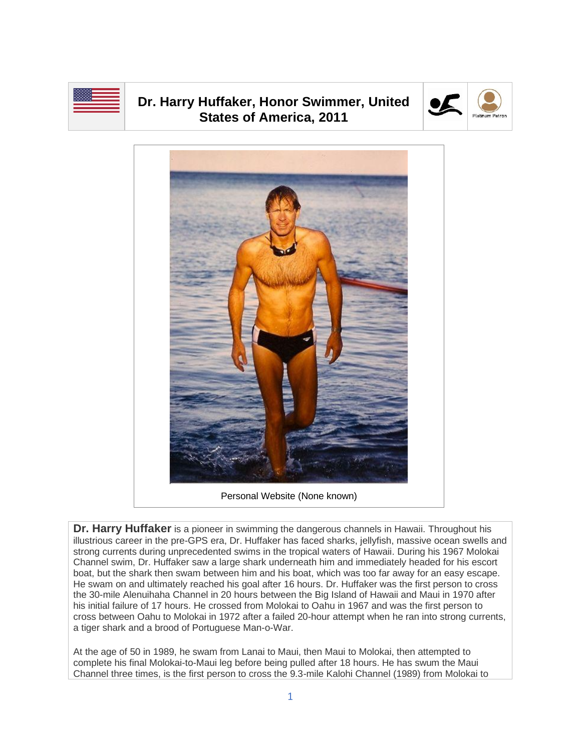

## **Dr. Harry Huffaker, Honor Swimmer, United States of America, 2011**





Personal Website (None known)

**Dr. Harry Huffaker** is a pioneer in swimming the dangerous channels in Hawaii. Throughout his illustrious career in the pre-GPS era, Dr. Huffaker has faced sharks, jellyfish, massive ocean swells and strong currents during unprecedented swims in the tropical waters of Hawaii. During his 1967 Molokai Channel swim, Dr. Huffaker saw a large shark underneath him and immediately headed for his escort boat, but the shark then swam between him and his boat, which was too far away for an easy escape. He swam on and ultimately reached his goal after 16 hours. Dr. Huffaker was the first person to cross the 30-mile Alenuihaha Channel in 20 hours between the Big Island of Hawaii and Maui in 1970 after his initial failure of 17 hours. He crossed from Molokai to Oahu in 1967 and was the first person to cross between Oahu to Molokai in 1972 after a failed 20-hour attempt when he ran into strong currents, a tiger shark and a brood of Portuguese Man-o-War.

At the age of 50 in 1989, he swam from Lanai to Maui, then Maui to Molokai, then attempted to complete his final Molokai-to-Maui leg before being pulled after 18 hours. He has swum the Maui Channel three times, is the first person to cross the 9.3-mile Kalohi Channel (1989) from Molokai to